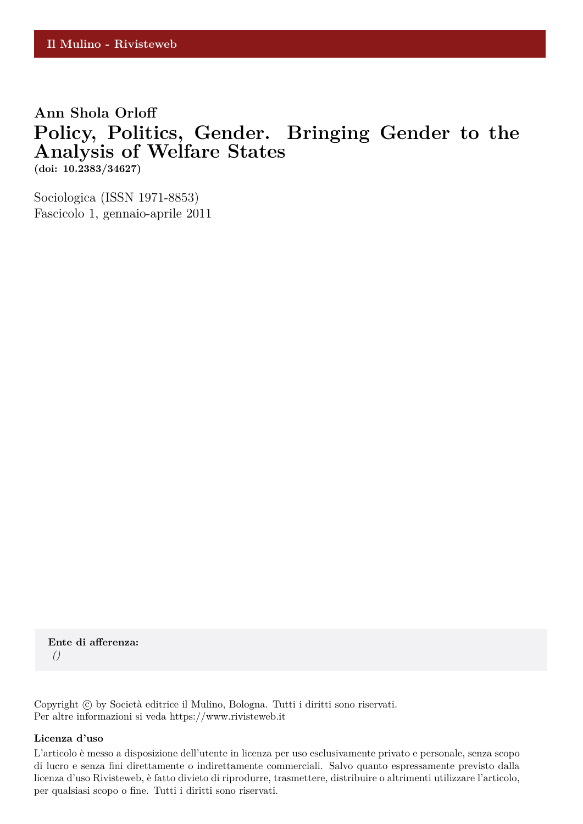## **Ann Shola Orloff Policy, Politics, Gender. Bringing Gender to the Analysis of Welfare States (doi: 10.2383/34627)**

Sociologica (ISSN 1971-8853) Fascicolo 1, gennaio-aprile 2011

**Ente di afferenza:** *()*

Copyright © by Società editrice il Mulino, Bologna. Tutti i diritti sono riservati. Per altre informazioni si veda https://www.rivisteweb.it

#### **Licenza d'uso**

L'articolo è messo a disposizione dell'utente in licenza per uso esclusivamente privato e personale, senza scopo di lucro e senza fini direttamente o indirettamente commerciali. Salvo quanto espressamente previsto dalla licenza d'uso Rivisteweb, è fatto divieto di riprodurre, trasmettere, distribuire o altrimenti utilizzare l'articolo, per qualsiasi scopo o fine. Tutti i diritti sono riservati.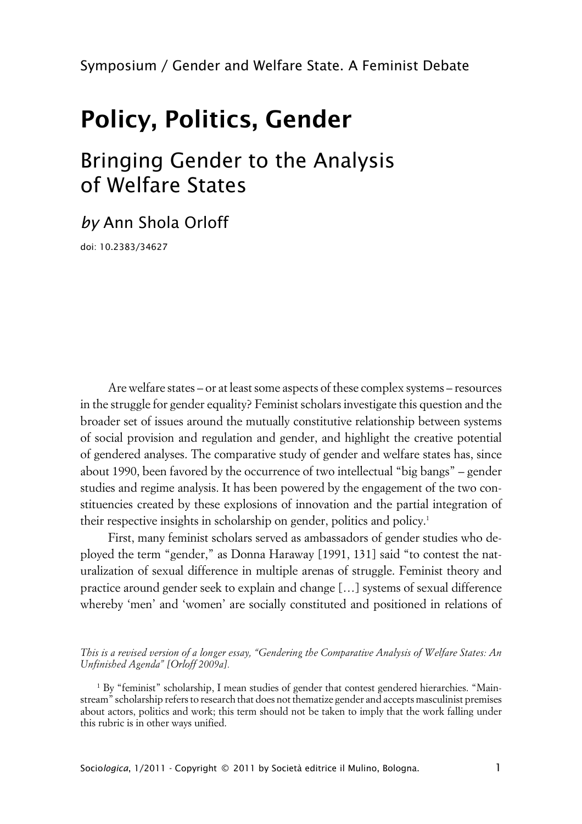# **Policy, Politics, Gender**

# Bringing Gender to the Analysis of Welfare States

*by* Ann Shola Orloff

doi: 10.2383/34627

Are welfare states – or at least some aspects of these complex systems – resources in the struggle for gender equality? Feminist scholars investigate this question and the broader set of issues around the mutually constitutive relationship between systems of social provision and regulation and gender, and highlight the creative potential of gendered analyses. The comparative study of gender and welfare states has, since about 1990, been favored by the occurrence of two intellectual "big bangs" – gender studies and regime analysis. It has been powered by the engagement of the two constituencies created by these explosions of innovation and the partial integration of their respective insights in scholarship on gender, politics and policy.<sup>1</sup>

First, many feminist scholars served as ambassadors of gender studies who deployed the term "gender," as Donna Haraway [1991, 131] said "to contest the naturalization of sexual difference in multiple arenas of struggle. Feminist theory and practice around gender seek to explain and change […] systems of sexual difference whereby 'men' and 'women' are socially constituted and positioned in relations of

*This is a revised version of a longer essay, "Gendering the Comparative Analysis of Welfare States: An Unfinished Agenda" [Orloff 2009a].*

<sup>1</sup> By "feminist" scholarship, I mean studies of gender that contest gendered hierarchies. "Mainstream" scholarship refers to research that does not thematize gender and accepts masculinist premises about actors, politics and work; this term should not be taken to imply that the work falling under this rubric is in other ways unified.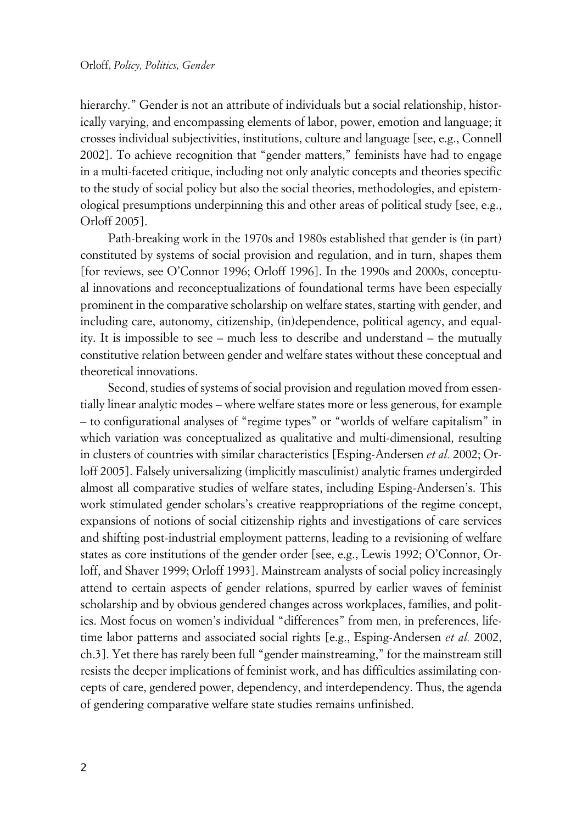hierarchy." Gender is not an attribute of individuals but a social relationship, historically varying, and encompassing elements of labor, power, emotion and language; it crosses individual subjectivities, institutions, culture and language [see, e.g., Connell 2002]. To achieve recognition that "gender matters," feminists have had to engage in a multi-faceted critique, including not only analytic concepts and theories specific to the study of social policy but also the social theories, methodologies, and epistemological presumptions underpinning this and other areas of political study [see, e.g., Orloff 2005].

Path-breaking work in the 1970s and 1980s established that gender is (in part) constituted by systems of social provision and regulation, and in turn, shapes them [for reviews, see O'Connor 1996; Orloff 1996]. In the 1990s and 2000s, conceptual innovations and reconceptualizations of foundational terms have been especially prominent in the comparative scholarship on welfare states, starting with gender, and including care, autonomy, citizenship, (in)dependence, political agency, and equality. It is impossible to see – much less to describe and understand – the mutually constitutive relation between gender and welfare states without these conceptual and theoretical innovations.

Second, studies of systems of social provision and regulation moved from essentially linear analytic modes – where welfare states more or less generous, for example – to configurational analyses of "regime types" or "worlds of welfare capitalism" in which variation was conceptualized as qualitative and multi-dimensional, resulting in clusters of countries with similar characteristics [Esping-Andersen *et al.* 2002; Orloff 2005]. Falsely universalizing (implicitly masculinist) analytic frames undergirded almost all comparative studies of welfare states, including Esping-Andersen's. This work stimulated gender scholars's creative reappropriations of the regime concept, expansions of notions of social citizenship rights and investigations of care services and shifting post-industrial employment patterns, leading to a revisioning of welfare states as core institutions of the gender order [see, e.g., Lewis 1992; O'Connor, Orloff, and Shaver 1999; Orloff 1993]. Mainstream analysts of social policy increasingly attend to certain aspects of gender relations, spurred by earlier waves of feminist scholarship and by obvious gendered changes across workplaces, families, and politics. Most focus on women's individual "differences" from men, in preferences, lifetime labor patterns and associated social rights [e.g., Esping-Andersen *et al.* 2002, ch.3]. Yet there has rarely been full "gender mainstreaming," for the mainstream still resists the deeper implications of feminist work, and has difficulties assimilating concepts of care, gendered power, dependency, and interdependency. Thus, the agenda of gendering comparative welfare state studies remains unfinished.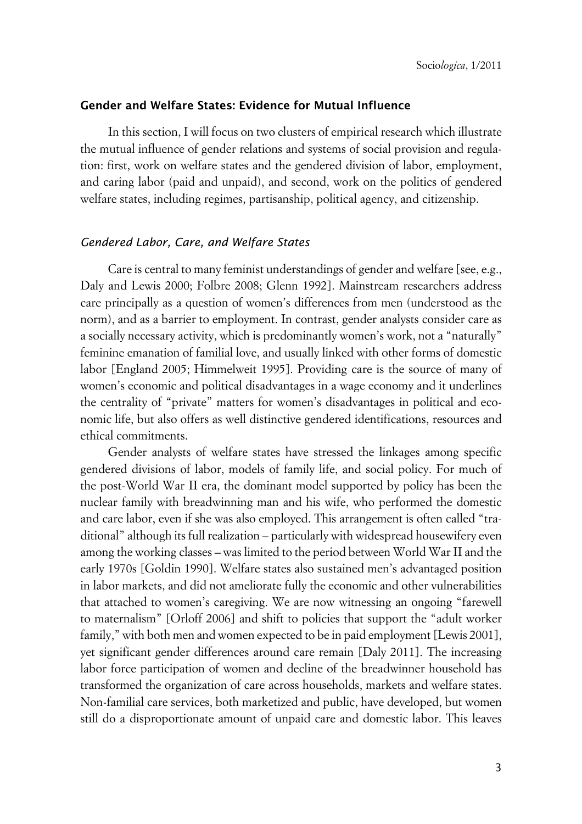## **xGender and Welfare States: Evidence for Mutual Influence**

In this section, I will focus on two clusters of empirical research which illustrate the mutual influence of gender relations and systems of social provision and regulation: first, work on welfare states and the gendered division of labor, employment, and caring labor (paid and unpaid), and second, work on the politics of gendered welfare states, including regimes, partisanship, political agency, and citizenship.

## x*Gendered Labor, Care, and Welfare States*

Care is central to many feminist understandings of gender and welfare [see, e.g., Daly and Lewis 2000; Folbre 2008; Glenn 1992]. Mainstream researchers address care principally as a question of women's differences from men (understood as the norm), and as a barrier to employment. In contrast, gender analysts consider care as a socially necessary activity, which is predominantly women's work, not a "naturally" feminine emanation of familial love, and usually linked with other forms of domestic labor [England 2005; Himmelweit 1995]. Providing care is the source of many of women's economic and political disadvantages in a wage economy and it underlines the centrality of "private" matters for women's disadvantages in political and economic life, but also offers as well distinctive gendered identifications, resources and ethical commitments.

Gender analysts of welfare states have stressed the linkages among specific gendered divisions of labor, models of family life, and social policy. For much of the post-World War II era, the dominant model supported by policy has been the nuclear family with breadwinning man and his wife, who performed the domestic and care labor, even if she was also employed. This arrangement is often called "traditional" although its full realization – particularly with widespread housewifery even among the working classes – was limited to the period between World War II and the early 1970s [Goldin 1990]. Welfare states also sustained men's advantaged position in labor markets, and did not ameliorate fully the economic and other vulnerabilities that attached to women's caregiving. We are now witnessing an ongoing "farewell to maternalism" [Orloff 2006] and shift to policies that support the "adult worker family," with both men and women expected to be in paid employment [Lewis 2001], yet significant gender differences around care remain [Daly 2011]. The increasing labor force participation of women and decline of the breadwinner household has transformed the organization of care across households, markets and welfare states. Non-familial care services, both marketized and public, have developed, but women still do a disproportionate amount of unpaid care and domestic labor. This leaves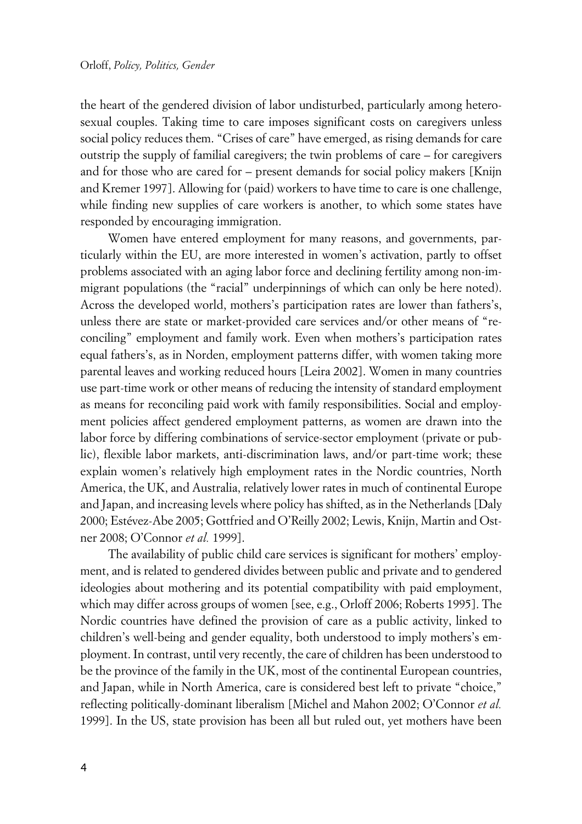the heart of the gendered division of labor undisturbed, particularly among heterosexual couples. Taking time to care imposes significant costs on caregivers unless social policy reduces them. "Crises of care" have emerged, as rising demands for care outstrip the supply of familial caregivers; the twin problems of care – for caregivers and for those who are cared for – present demands for social policy makers [Knijn and Kremer 1997]. Allowing for (paid) workers to have time to care is one challenge, while finding new supplies of care workers is another, to which some states have responded by encouraging immigration.

Women have entered employment for many reasons, and governments, particularly within the EU, are more interested in women's activation, partly to offset problems associated with an aging labor force and declining fertility among non-immigrant populations (the "racial" underpinnings of which can only be here noted). Across the developed world, mothers's participation rates are lower than fathers's, unless there are state or market-provided care services and/or other means of "reconciling" employment and family work. Even when mothers's participation rates equal fathers's, as in Norden, employment patterns differ, with women taking more parental leaves and working reduced hours [Leira 2002]. Women in many countries use part-time work or other means of reducing the intensity of standard employment as means for reconciling paid work with family responsibilities. Social and employment policies affect gendered employment patterns, as women are drawn into the labor force by differing combinations of service-sector employment (private or public), flexible labor markets, anti-discrimination laws, and/or part-time work; these explain women's relatively high employment rates in the Nordic countries, North America, the UK, and Australia, relatively lower rates in much of continental Europe and Japan, and increasing levels where policy has shifted, as in the Netherlands [Daly 2000; Estévez-Abe 2005; Gottfried and O'Reilly 2002; Lewis, Knijn, Martin and Ostner 2008; O'Connor *et al.* 1999].

The availability of public child care services is significant for mothers' employment, and is related to gendered divides between public and private and to gendered ideologies about mothering and its potential compatibility with paid employment, which may differ across groups of women [see, e.g., Orloff 2006; Roberts 1995]. The Nordic countries have defined the provision of care as a public activity, linked to children's well-being and gender equality, both understood to imply mothers's employment. In contrast, until very recently, the care of children has been understood to be the province of the family in the UK, most of the continental European countries, and Japan, while in North America, care is considered best left to private "choice," reflecting politically-dominant liberalism [Michel and Mahon 2002; O'Connor *et al.* 1999]. In the US, state provision has been all but ruled out, yet mothers have been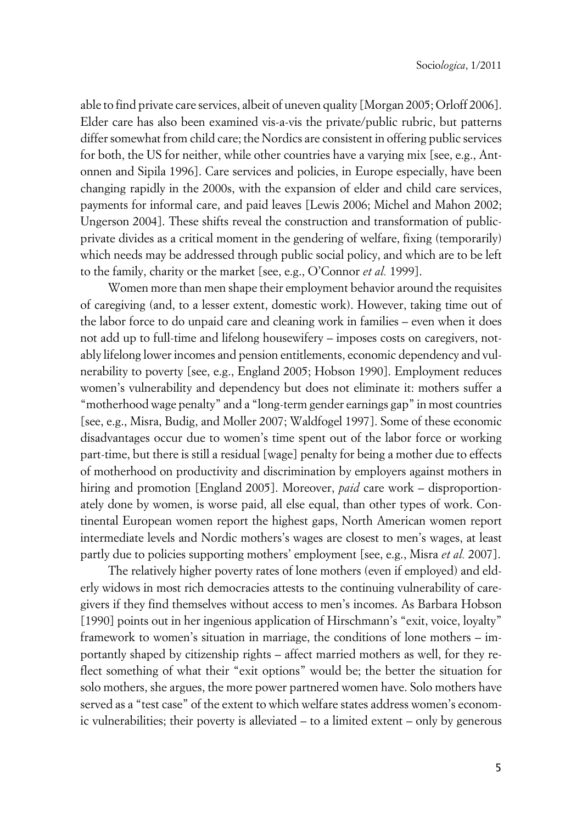able to find private care services, albeit of uneven quality [Morgan 2005; Orloff 2006]. Elder care has also been examined vis-a-vis the private/public rubric, but patterns differ somewhat from child care; the Nordics are consistent in offering public services for both, the US for neither, while other countries have a varying mix [see, e.g., Antonnen and Sipila 1996]. Care services and policies, in Europe especially, have been changing rapidly in the 2000s, with the expansion of elder and child care services, payments for informal care, and paid leaves [Lewis 2006; Michel and Mahon 2002; Ungerson 2004]. These shifts reveal the construction and transformation of publicprivate divides as a critical moment in the gendering of welfare, fixing (temporarily) which needs may be addressed through public social policy, and which are to be left to the family, charity or the market [see, e.g., O'Connor *et al.* 1999].

Women more than men shape their employment behavior around the requisites of caregiving (and, to a lesser extent, domestic work). However, taking time out of the labor force to do unpaid care and cleaning work in families – even when it does not add up to full-time and lifelong housewifery – imposes costs on caregivers, notably lifelong lower incomes and pension entitlements, economic dependency and vulnerability to poverty [see, e.g., England 2005; Hobson 1990]. Employment reduces women's vulnerability and dependency but does not eliminate it: mothers suffer a "motherhood wage penalty" and a "long-term gender earnings gap" in most countries [see, e.g., Misra, Budig, and Moller 2007; Waldfogel 1997]. Some of these economic disadvantages occur due to women's time spent out of the labor force or working part-time, but there is still a residual [wage] penalty for being a mother due to effects of motherhood on productivity and discrimination by employers against mothers in hiring and promotion [England 2005]. Moreover, *paid* care work – disproportionately done by women, is worse paid, all else equal, than other types of work. Continental European women report the highest gaps, North American women report intermediate levels and Nordic mothers's wages are closest to men's wages, at least partly due to policies supporting mothers' employment [see, e.g., Misra *et al.* 2007].

The relatively higher poverty rates of lone mothers (even if employed) and elderly widows in most rich democracies attests to the continuing vulnerability of caregivers if they find themselves without access to men's incomes. As Barbara Hobson [1990] points out in her ingenious application of Hirschmann's "exit, voice, loyalty" framework to women's situation in marriage, the conditions of lone mothers – importantly shaped by citizenship rights – affect married mothers as well, for they reflect something of what their "exit options" would be; the better the situation for solo mothers, she argues, the more power partnered women have. Solo mothers have served as a "test case" of the extent to which welfare states address women's economic vulnerabilities; their poverty is alleviated – to a limited extent – only by generous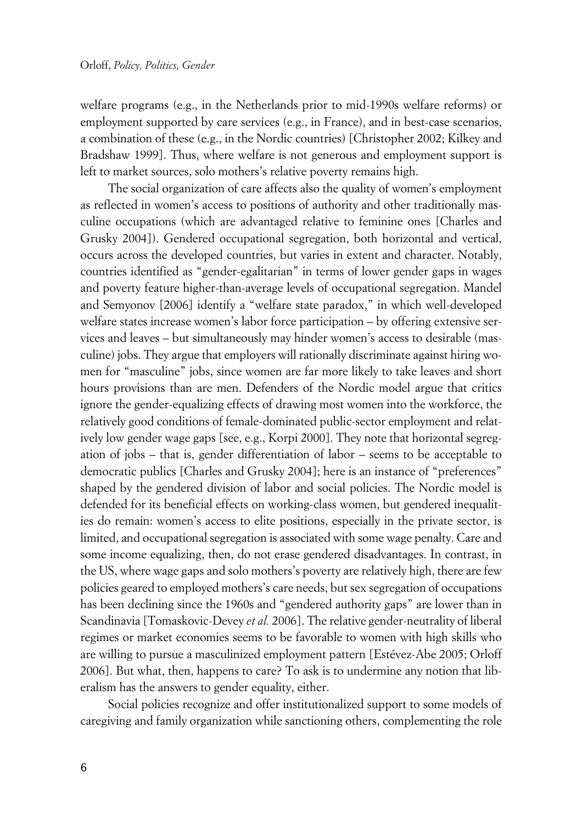welfare programs (e.g., in the Netherlands prior to mid-1990s welfare reforms) or employment supported by care services (e.g., in France), and in best-case scenarios, a combination of these (e.g., in the Nordic countries) [Christopher 2002; Kilkey and Bradshaw 1999]. Thus, where welfare is not generous and employment support is left to market sources, solo mothers's relative poverty remains high.

The social organization of care affects also the quality of women's employment as reflected in women's access to positions of authority and other traditionally masculine occupations (which are advantaged relative to feminine ones [Charles and Grusky 2004]). Gendered occupational segregation, both horizontal and vertical, occurs across the developed countries, but varies in extent and character. Notably, countries identified as "gender-egalitarian" in terms of lower gender gaps in wages and poverty feature higher-than-average levels of occupational segregation. Mandel and Semyonov [2006] identify a "welfare state paradox," in which well-developed welfare states increase women's labor force participation – by offering extensive services and leaves – but simultaneously may hinder women's access to desirable (masculine) jobs. They argue that employers will rationally discriminate against hiring women for "masculine" jobs, since women are far more likely to take leaves and short hours provisions than are men. Defenders of the Nordic model argue that critics ignore the gender-equalizing effects of drawing most women into the workforce, the relatively good conditions of female-dominated public-sector employment and relatively low gender wage gaps [see, e.g., Korpi 2000]. They note that horizontal segregation of jobs – that is, gender differentiation of labor – seems to be acceptable to democratic publics [Charles and Grusky 2004]; here is an instance of "preferences" shaped by the gendered division of labor and social policies. The Nordic model is defended for its beneficial effects on working-class women, but gendered inequalities do remain: women's access to elite positions, especially in the private sector, is limited, and occupational segregation is associated with some wage penalty. Care and some income equalizing, then, do not erase gendered disadvantages. In contrast, in the US, where wage gaps and solo mothers's poverty are relatively high, there are few policies geared to employed mothers's care needs, but sex segregation of occupations has been declining since the 1960s and "gendered authority gaps" are lower than in Scandinavia [Tomaskovic-Devey *et al.* 2006]. The relative gender-neutrality of liberal regimes or market economies seems to be favorable to women with high skills who are willing to pursue a masculinized employment pattern [Estévez-Abe 2005; Orloff 2006]. But what, then, happens to care? To ask is to undermine any notion that liberalism has the answers to gender equality, either.

Social policies recognize and offer institutionalized support to some models of caregiving and family organization while sanctioning others, complementing the role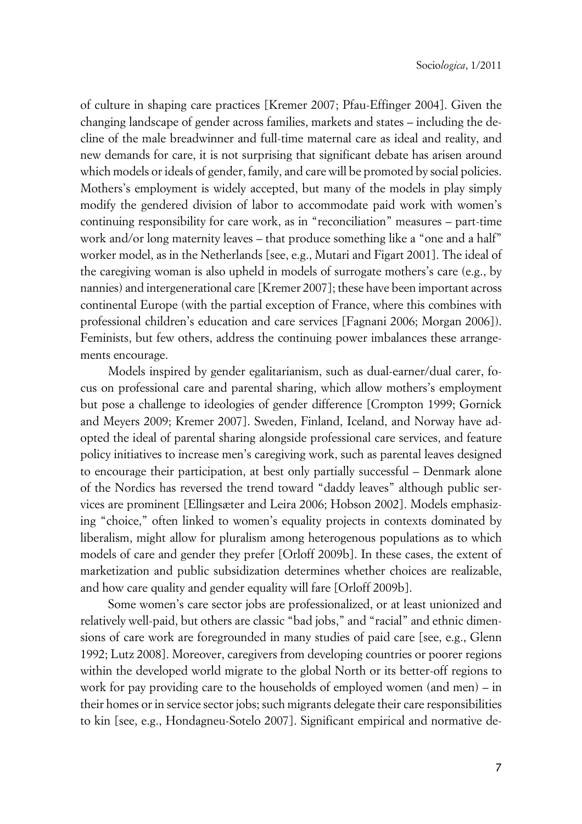of culture in shaping care practices [Kremer 2007; Pfau-Effinger 2004]. Given the changing landscape of gender across families, markets and states – including the decline of the male breadwinner and full-time maternal care as ideal and reality, and new demands for care, it is not surprising that significant debate has arisen around which models or ideals of gender, family, and care will be promoted by social policies. Mothers's employment is widely accepted, but many of the models in play simply modify the gendered division of labor to accommodate paid work with women's continuing responsibility for care work, as in "reconciliation" measures – part-time work and/or long maternity leaves – that produce something like a "one and a half" worker model, as in the Netherlands [see, e.g., Mutari and Figart 2001]. The ideal of the caregiving woman is also upheld in models of surrogate mothers's care (e.g., by nannies) and intergenerational care [Kremer 2007]; these have been important across continental Europe (with the partial exception of France, where this combines with professional children's education and care services [Fagnani 2006; Morgan 2006]). Feminists, but few others, address the continuing power imbalances these arrangements encourage.

Models inspired by gender egalitarianism, such as dual-earner/dual carer, focus on professional care and parental sharing, which allow mothers's employment but pose a challenge to ideologies of gender difference [Crompton 1999; Gornick and Meyers 2009; Kremer 2007]. Sweden, Finland, Iceland, and Norway have adopted the ideal of parental sharing alongside professional care services, and feature policy initiatives to increase men's caregiving work, such as parental leaves designed to encourage their participation, at best only partially successful – Denmark alone of the Nordics has reversed the trend toward "daddy leaves" although public services are prominent [Ellingsæter and Leira 2006; Hobson 2002]. Models emphasizing "choice," often linked to women's equality projects in contexts dominated by liberalism, might allow for pluralism among heterogenous populations as to which models of care and gender they prefer [Orloff 2009b]. In these cases, the extent of marketization and public subsidization determines whether choices are realizable, and how care quality and gender equality will fare [Orloff 2009b].

Some women's care sector jobs are professionalized, or at least unionized and relatively well-paid, but others are classic "bad jobs," and "racial" and ethnic dimensions of care work are foregrounded in many studies of paid care [see, e.g., Glenn 1992; Lutz 2008]. Moreover, caregivers from developing countries or poorer regions within the developed world migrate to the global North or its better-off regions to work for pay providing care to the households of employed women (and men) – in their homes or in service sector jobs; such migrants delegate their care responsibilities to kin [see, e.g., Hondagneu-Sotelo 2007]. Significant empirical and normative de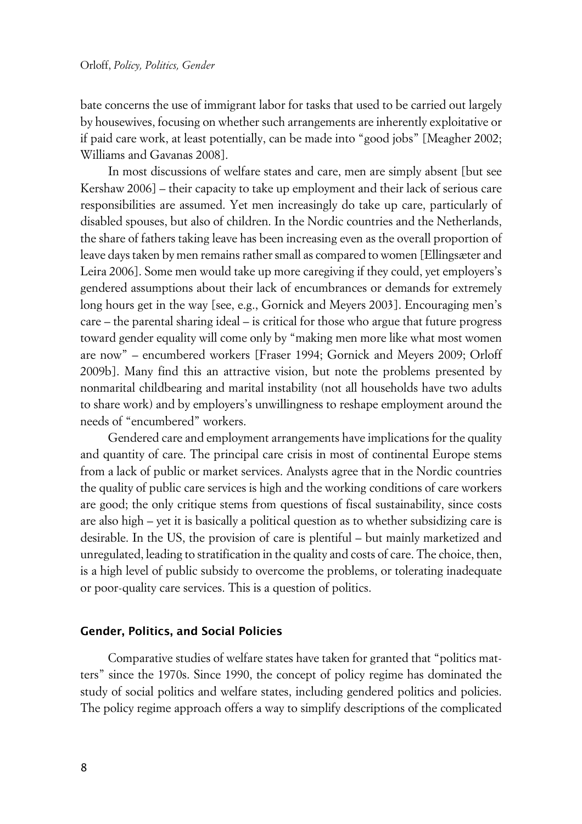bate concerns the use of immigrant labor for tasks that used to be carried out largely by housewives, focusing on whether such arrangements are inherently exploitative or if paid care work, at least potentially, can be made into "good jobs" [Meagher 2002; Williams and Gavanas 2008].

In most discussions of welfare states and care, men are simply absent [but see Kershaw 2006] – their capacity to take up employment and their lack of serious care responsibilities are assumed. Yet men increasingly do take up care, particularly of disabled spouses, but also of children. In the Nordic countries and the Netherlands, the share of fathers taking leave has been increasing even as the overall proportion of leave days taken by men remains rather small as compared to women [Ellingsæter and Leira 2006]. Some men would take up more caregiving if they could, yet employers's gendered assumptions about their lack of encumbrances or demands for extremely long hours get in the way [see, e.g., Gornick and Meyers 2003]. Encouraging men's care – the parental sharing ideal – is critical for those who argue that future progress toward gender equality will come only by "making men more like what most women are now" – encumbered workers [Fraser 1994; Gornick and Meyers 2009; Orloff 2009b]. Many find this an attractive vision, but note the problems presented by nonmarital childbearing and marital instability (not all households have two adults to share work) and by employers's unwillingness to reshape employment around the needs of "encumbered" workers.

Gendered care and employment arrangements have implications for the quality and quantity of care. The principal care crisis in most of continental Europe stems from a lack of public or market services. Analysts agree that in the Nordic countries the quality of public care services is high and the working conditions of care workers are good; the only critique stems from questions of fiscal sustainability, since costs are also high – yet it is basically a political question as to whether subsidizing care is desirable. In the US, the provision of care is plentiful – but mainly marketized and unregulated, leading to stratification in the quality and costs of care. The choice, then, is a high level of public subsidy to overcome the problems, or tolerating inadequate or poor-quality care services. This is a question of politics.

### **xGender, Politics, and Social Policies**

Comparative studies of welfare states have taken for granted that "politics matters" since the 1970s. Since 1990, the concept of policy regime has dominated the study of social politics and welfare states, including gendered politics and policies. The policy regime approach offers a way to simplify descriptions of the complicated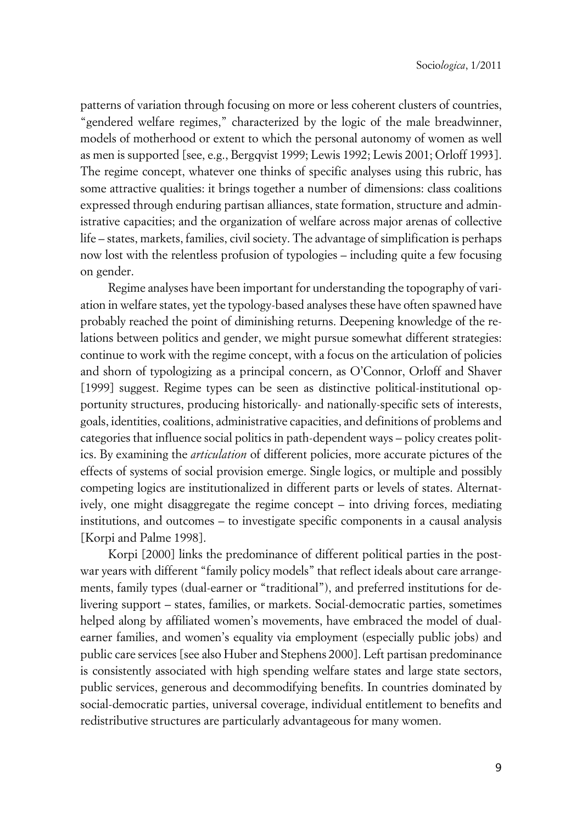patterns of variation through focusing on more or less coherent clusters of countries, "gendered welfare regimes," characterized by the logic of the male breadwinner, models of motherhood or extent to which the personal autonomy of women as well as men is supported [see, e.g., Bergqvist 1999; Lewis 1992; Lewis 2001; Orloff 1993]. The regime concept, whatever one thinks of specific analyses using this rubric, has some attractive qualities: it brings together a number of dimensions: class coalitions expressed through enduring partisan alliances, state formation, structure and administrative capacities; and the organization of welfare across major arenas of collective life – states, markets, families, civil society. The advantage of simplification is perhaps now lost with the relentless profusion of typologies – including quite a few focusing on gender.

Regime analyses have been important for understanding the topography of variation in welfare states, yet the typology-based analyses these have often spawned have probably reached the point of diminishing returns. Deepening knowledge of the relations between politics and gender, we might pursue somewhat different strategies: continue to work with the regime concept, with a focus on the articulation of policies and shorn of typologizing as a principal concern, as O'Connor, Orloff and Shaver [1999] suggest. Regime types can be seen as distinctive political-institutional opportunity structures, producing historically- and nationally-specific sets of interests, goals, identities, coalitions, administrative capacities, and definitions of problems and categories that influence social politics in path-dependent ways – policy creates politics. By examining the *articulation* of different policies, more accurate pictures of the effects of systems of social provision emerge. Single logics, or multiple and possibly competing logics are institutionalized in different parts or levels of states. Alternatively, one might disaggregate the regime concept – into driving forces, mediating institutions, and outcomes – to investigate specific components in a causal analysis [Korpi and Palme 1998].

Korpi [2000] links the predominance of different political parties in the postwar years with different "family policy models" that reflect ideals about care arrangements, family types (dual-earner or "traditional"), and preferred institutions for delivering support – states, families, or markets. Social-democratic parties, sometimes helped along by affiliated women's movements, have embraced the model of dualearner families, and women's equality via employment (especially public jobs) and public care services [see also Huber and Stephens 2000]. Left partisan predominance is consistently associated with high spending welfare states and large state sectors, public services, generous and decommodifying benefits. In countries dominated by social-democratic parties, universal coverage, individual entitlement to benefits and redistributive structures are particularly advantageous for many women.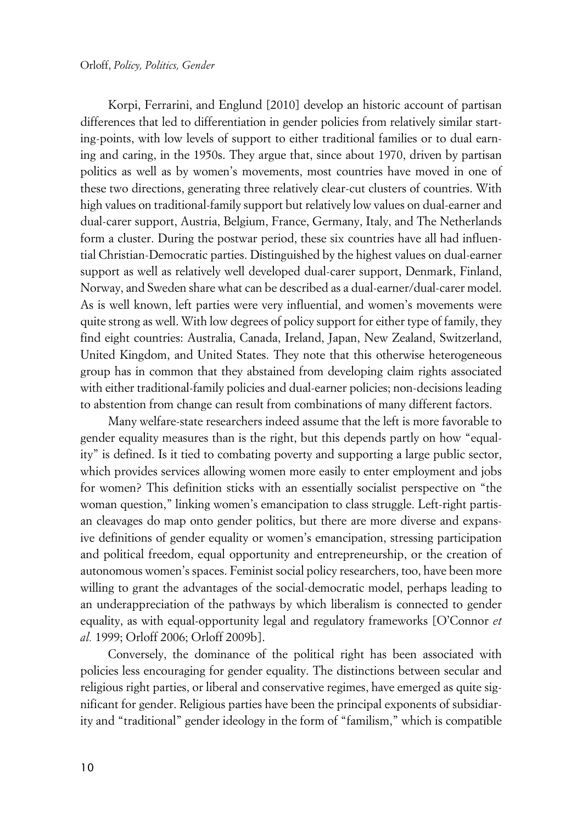Korpi, Ferrarini, and Englund [2010] develop an historic account of partisan differences that led to differentiation in gender policies from relatively similar starting-points, with low levels of support to either traditional families or to dual earning and caring, in the 1950s. They argue that, since about 1970, driven by partisan politics as well as by women's movements, most countries have moved in one of these two directions, generating three relatively clear-cut clusters of countries. With high values on traditional-family support but relatively low values on dual-earner and dual-carer support, Austria, Belgium, France, Germany, Italy, and The Netherlands form a cluster. During the postwar period, these six countries have all had influential Christian-Democratic parties. Distinguished by the highest values on dual-earner support as well as relatively well developed dual-carer support, Denmark, Finland, Norway, and Sweden share what can be described as a dual-earner/dual-carer model. As is well known, left parties were very influential, and women's movements were quite strong as well. With low degrees of policy support for either type of family, they find eight countries: Australia, Canada, Ireland, Japan, New Zealand, Switzerland, United Kingdom, and United States. They note that this otherwise heterogeneous group has in common that they abstained from developing claim rights associated with either traditional-family policies and dual-earner policies; non-decisions leading to abstention from change can result from combinations of many different factors.

Many welfare-state researchers indeed assume that the left is more favorable to gender equality measures than is the right, but this depends partly on how "equality" is defined. Is it tied to combating poverty and supporting a large public sector, which provides services allowing women more easily to enter employment and jobs for women? This definition sticks with an essentially socialist perspective on "the woman question," linking women's emancipation to class struggle. Left-right partisan cleavages do map onto gender politics, but there are more diverse and expansive definitions of gender equality or women's emancipation, stressing participation and political freedom, equal opportunity and entrepreneurship, or the creation of autonomous women's spaces. Feminist social policy researchers, too, have been more willing to grant the advantages of the social-democratic model, perhaps leading to an underappreciation of the pathways by which liberalism is connected to gender equality, as with equal-opportunity legal and regulatory frameworks [O'Connor *et al.* 1999; Orloff 2006; Orloff 2009b].

Conversely, the dominance of the political right has been associated with policies less encouraging for gender equality. The distinctions between secular and religious right parties, or liberal and conservative regimes, have emerged as quite significant for gender. Religious parties have been the principal exponents of subsidiarity and "traditional" gender ideology in the form of "familism," which is compatible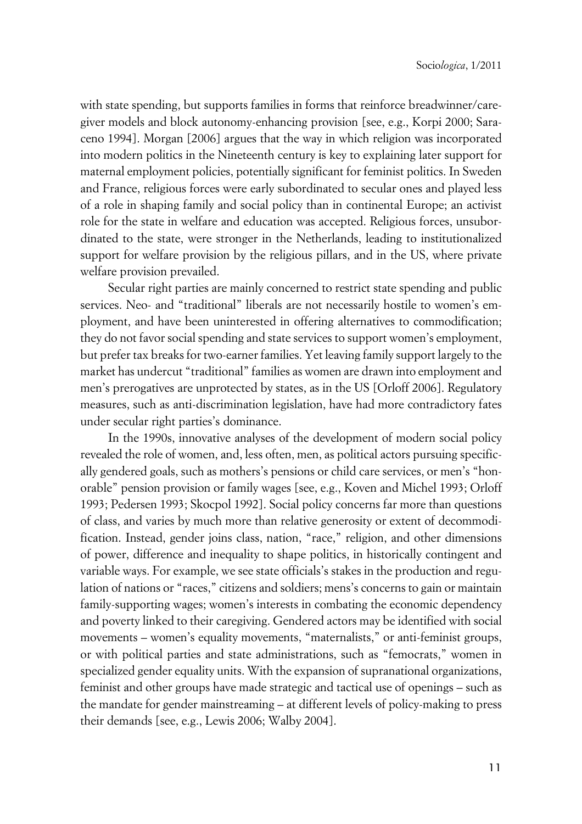with state spending, but supports families in forms that reinforce breadwinner/caregiver models and block autonomy-enhancing provision [see, e.g., Korpi 2000; Saraceno 1994]. Morgan [2006] argues that the way in which religion was incorporated into modern politics in the Nineteenth century is key to explaining later support for maternal employment policies, potentially significant for feminist politics. In Sweden and France, religious forces were early subordinated to secular ones and played less of a role in shaping family and social policy than in continental Europe; an activist role for the state in welfare and education was accepted. Religious forces, unsubordinated to the state, were stronger in the Netherlands, leading to institutionalized support for welfare provision by the religious pillars, and in the US, where private welfare provision prevailed.

Secular right parties are mainly concerned to restrict state spending and public services. Neo- and "traditional" liberals are not necessarily hostile to women's employment, and have been uninterested in offering alternatives to commodification; they do not favor social spending and state services to support women's employment, but prefer tax breaks for two-earner families. Yet leaving family support largely to the market has undercut "traditional" families as women are drawn into employment and men's prerogatives are unprotected by states, as in the US [Orloff 2006]. Regulatory measures, such as anti-discrimination legislation, have had more contradictory fates under secular right parties's dominance.

In the 1990s, innovative analyses of the development of modern social policy revealed the role of women, and, less often, men, as political actors pursuing specifically gendered goals, such as mothers's pensions or child care services, or men's "honorable" pension provision or family wages [see, e.g., Koven and Michel 1993; Orloff 1993; Pedersen 1993; Skocpol 1992]. Social policy concerns far more than questions of class, and varies by much more than relative generosity or extent of decommodification. Instead, gender joins class, nation, "race," religion, and other dimensions of power, difference and inequality to shape politics, in historically contingent and variable ways. For example, we see state officials's stakes in the production and regulation of nations or "races," citizens and soldiers; mens's concerns to gain or maintain family-supporting wages; women's interests in combating the economic dependency and poverty linked to their caregiving. Gendered actors may be identified with social movements – women's equality movements, "maternalists," or anti-feminist groups, or with political parties and state administrations, such as "femocrats," women in specialized gender equality units. With the expansion of supranational organizations, feminist and other groups have made strategic and tactical use of openings – such as the mandate for gender mainstreaming – at different levels of policy-making to press their demands [see, e.g., Lewis 2006; Walby 2004].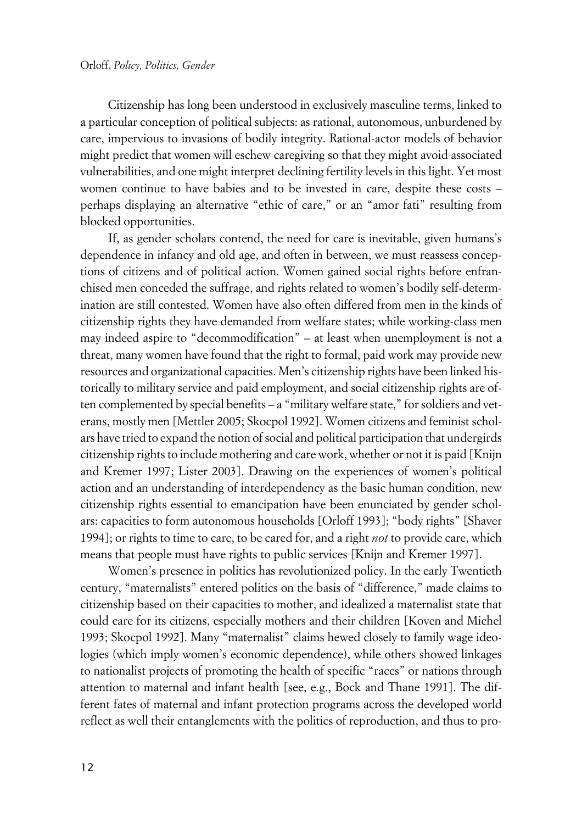Citizenship has long been understood in exclusively masculine terms, linked to a particular conception of political subjects: as rational, autonomous, unburdened by care, impervious to invasions of bodily integrity. Rational-actor models of behavior might predict that women will eschew caregiving so that they might avoid associated vulnerabilities, and one might interpret declining fertility levels in this light. Yet most women continue to have babies and to be invested in care, despite these costs – perhaps displaying an alternative "ethic of care," or an "amor fati" resulting from blocked opportunities.

If, as gender scholars contend, the need for care is inevitable, given humans's dependence in infancy and old age, and often in between, we must reassess conceptions of citizens and of political action. Women gained social rights before enfranchised men conceded the suffrage, and rights related to women's bodily self-determination are still contested. Women have also often differed from men in the kinds of citizenship rights they have demanded from welfare states; while working-class men may indeed aspire to "decommodification" – at least when unemployment is not a threat, many women have found that the right to formal, paid work may provide new resources and organizational capacities. Men's citizenship rights have been linked historically to military service and paid employment, and social citizenship rights are often complemented by special benefits – a "military welfare state," for soldiers and veterans, mostly men [Mettler 2005; Skocpol 1992]. Women citizens and feminist scholars have tried to expand the notion of social and political participation that undergirds citizenship rights to include mothering and care work, whether or not it is paid [Knijn and Kremer 1997; Lister 2003]. Drawing on the experiences of women's political action and an understanding of interdependency as the basic human condition, new citizenship rights essential to emancipation have been enunciated by gender scholars: capacities to form autonomous households [Orloff 1993]; "body rights" [Shaver 1994]; or rights to time to care, to be cared for, and a right *not* to provide care, which means that people must have rights to public services [Knijn and Kremer 1997].

Women's presence in politics has revolutionized policy. In the early Twentieth century, "maternalists" entered politics on the basis of "difference," made claims to citizenship based on their capacities to mother, and idealized a maternalist state that could care for its citizens, especially mothers and their children [Koven and Michel 1993; Skocpol 1992]. Many "maternalist" claims hewed closely to family wage ideologies (which imply women's economic dependence), while others showed linkages to nationalist projects of promoting the health of specific "races" or nations through attention to maternal and infant health [see, e.g., Bock and Thane 1991]. The different fates of maternal and infant protection programs across the developed world reflect as well their entanglements with the politics of reproduction, and thus to pro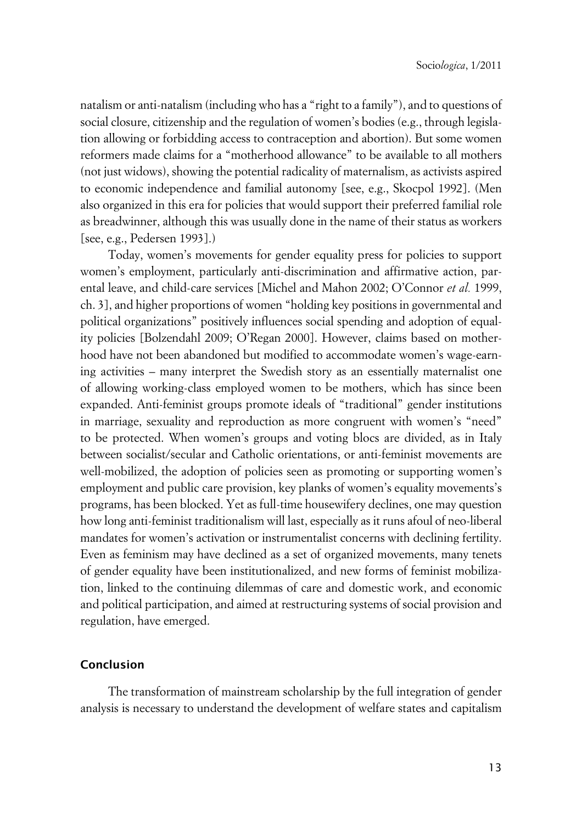natalism or anti-natalism (including who has a "right to a family"), and to questions of social closure, citizenship and the regulation of women's bodies (e.g., through legislation allowing or forbidding access to contraception and abortion). But some women reformers made claims for a "motherhood allowance" to be available to all mothers (not just widows), showing the potential radicality of maternalism, as activists aspired to economic independence and familial autonomy [see, e.g., Skocpol 1992]. (Men also organized in this era for policies that would support their preferred familial role as breadwinner, although this was usually done in the name of their status as workers [see, e.g., Pedersen 1993].)

Today, women's movements for gender equality press for policies to support women's employment, particularly anti-discrimination and affirmative action, parental leave, and child-care services [Michel and Mahon 2002; O'Connor *et al.* 1999, ch. 3], and higher proportions of women "holding key positions in governmental and political organizations" positively influences social spending and adoption of equality policies [Bolzendahl 2009; O'Regan 2000]. However, claims based on motherhood have not been abandoned but modified to accommodate women's wage-earning activities – many interpret the Swedish story as an essentially maternalist one of allowing working-class employed women to be mothers, which has since been expanded. Anti-feminist groups promote ideals of "traditional" gender institutions in marriage, sexuality and reproduction as more congruent with women's "need" to be protected. When women's groups and voting blocs are divided, as in Italy between socialist/secular and Catholic orientations, or anti-feminist movements are well-mobilized, the adoption of policies seen as promoting or supporting women's employment and public care provision, key planks of women's equality movements's programs, has been blocked. Yet as full-time housewifery declines, one may question how long anti-feminist traditionalism will last, especially as it runs afoul of neo-liberal mandates for women's activation or instrumentalist concerns with declining fertility. Even as feminism may have declined as a set of organized movements, many tenets of gender equality have been institutionalized, and new forms of feminist mobilization, linked to the continuing dilemmas of care and domestic work, and economic and political participation, and aimed at restructuring systems of social provision and regulation, have emerged.

## **xConclusion**

The transformation of mainstream scholarship by the full integration of gender analysis is necessary to understand the development of welfare states and capitalism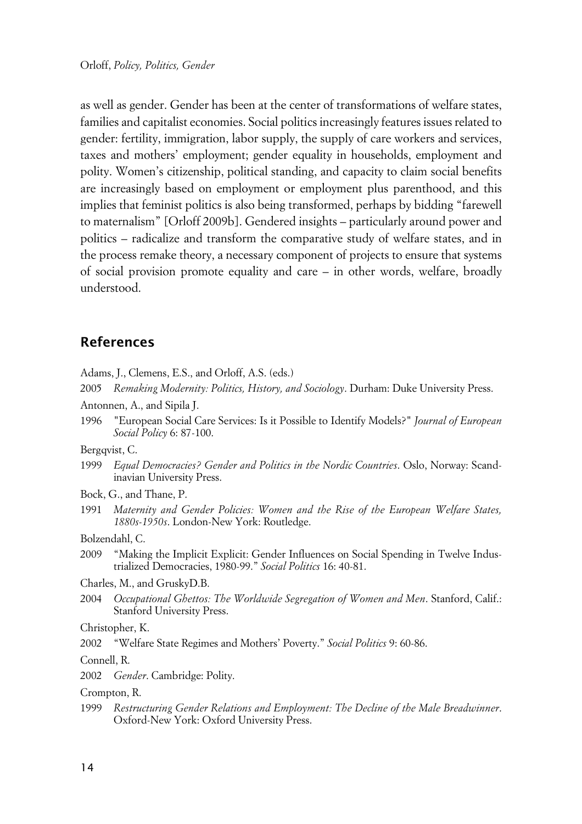as well as gender. Gender has been at the center of transformations of welfare states, families and capitalist economies. Social politics increasingly features issues related to gender: fertility, immigration, labor supply, the supply of care workers and services, taxes and mothers' employment; gender equality in households, employment and polity. Women's citizenship, political standing, and capacity to claim social benefits are increasingly based on employment or employment plus parenthood, and this implies that feminist politics is also being transformed, perhaps by bidding "farewell to maternalism" [Orloff 2009b]. Gendered insights – particularly around power and politics – radicalize and transform the comparative study of welfare states, and in the process remake theory, a necessary component of projects to ensure that systems of social provision promote equality and care – in other words, welfare, broadly understood.

## **References**

Adams, J., Clemens, E.S., and Orloff, A.S. (eds.)

- 2005 *Remaking Modernity: Politics, History, and Sociology*. Durham: Duke University Press.
- Antonnen, A., and Sipila J.
- 1996 "European Social Care Services: Is it Possible to Identify Models?" *Journal of European Social Policy* 6: 87-100.

Bergqvist, C.

- 1999 *Equal Democracies? Gender and Politics in the Nordic Countries*. Oslo, Norway: Scandinavian University Press.
- Bock, G., and Thane, P.
- 1991 *Maternity and Gender Policies: Women and the Rise of the European Welfare States, 1880s-1950s*. London-New York: Routledge.

Bolzendahl, C.

- 2009 "Making the Implicit Explicit: Gender Influences on Social Spending in Twelve Industrialized Democracies, 1980-99." *Social Politics* 16: 40-81.
- Charles, M., and GruskyD.B.
- 2004 *Occupational Ghettos: The Worldwide Segregation of Women and Men*. Stanford, Calif.: Stanford University Press.

Christopher, K.

2002 "Welfare State Regimes and Mothers' Poverty." *Social Politics* 9: 60-86.

Connell, R.

2002 *Gender*. Cambridge: Polity.

Crompton, R.

1999 *Restructuring Gender Relations and Employment: The Decline of the Male Breadwinner*. Oxford-New York: Oxford University Press.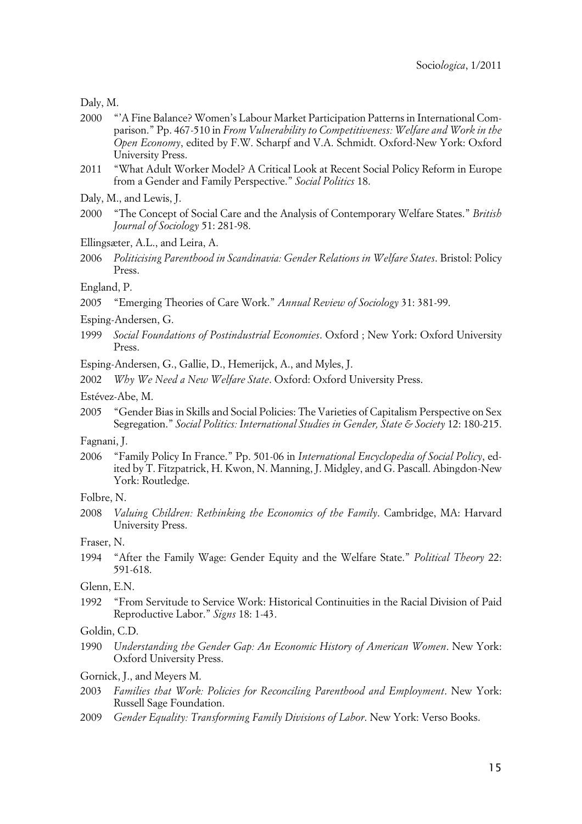Daly, M.

- 2000 "'A Fine Balance? Women's Labour Market Participation Patterns in International Comparison." Pp. 467-510 in *From Vulnerability to Competitiveness: Welfare and Work in the Open Economy*, edited by F.W. Scharpf and V.A. Schmidt. Oxford-New York: Oxford University Press.
- 2011 "What Adult Worker Model? A Critical Look at Recent Social Policy Reform in Europe from a Gender and Family Perspective." *Social Politics* 18.

Daly, M., and Lewis, J.

- 2000 "The Concept of Social Care and the Analysis of Contemporary Welfare States." *British Journal of Sociology* 51: 281-98.
- Ellingsæter, A.L., and Leira, A.
- 2006 *Politicising Parenthood in Scandinavia: Gender Relations in Welfare States*. Bristol: Policy Press.

England, P.

2005 "Emerging Theories of Care Work." *Annual Review of Sociology* 31: 381-99.

Esping-Andersen, G.

1999 *Social Foundations of Postindustrial Economies*. Oxford ; New York: Oxford University Press.

Esping-Andersen, G., Gallie, D., Hemerijck, A., and Myles, J.

2002 *Why We Need a New Welfare State*. Oxford: Oxford University Press.

Estévez-Abe, M.

2005 "Gender Bias in Skills and Social Policies: The Varieties of Capitalism Perspective on Sex Segregation." *Social Politics: International Studies in Gender, State & Society* 12: 180-215.

Fagnani, J.

2006 "Family Policy In France." Pp. 501-06 in *International Encyclopedia of Social Policy*, edited by T. Fitzpatrick, H. Kwon, N. Manning, J. Midgley, and G. Pascall. Abingdon-New York: Routledge.

2008 *Valuing Children: Rethinking the Economics of the Family*. Cambridge, MA: Harvard University Press.

Fraser, N.

1994 "After the Family Wage: Gender Equity and the Welfare State." *Political Theory* 22: 591-618.

Glenn, E.N.

1992 "From Servitude to Service Work: Historical Continuities in the Racial Division of Paid Reproductive Labor." *Signs* 18: 1-43.

Goldin, C.D.

1990 *Understanding the Gender Gap: An Economic History of American Women*. New York: Oxford University Press.

Gornick, J., and Meyers M.

- 2003 *Families that Work: Policies for Reconciling Parenthood and Employment*. New York: Russell Sage Foundation.
- 2009 *Gender Equality: Transforming Family Divisions of Labor*. New York: Verso Books.

Folbre, N.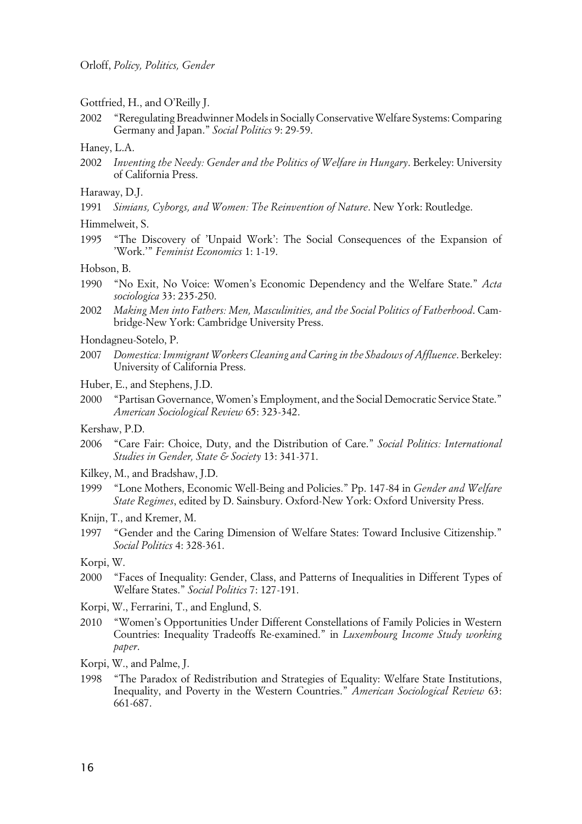- Gottfried, H., and O'Reilly J.
- 2002 "Reregulating Breadwinner Models in Socially Conservative Welfare Systems: Comparing Germany and Japan." *Social Politics* 9: 29-59.
- Haney, L.A.
- 2002 *Inventing the Needy: Gender and the Politics of Welfare in Hungary*. Berkeley: University of California Press.
- Haraway, D.J.
- 1991 *Simians, Cyborgs, and Women: The Reinvention of Nature*. New York: Routledge.
- Himmelweit, S.
- 1995 "The Discovery of 'Unpaid Work': The Social Consequences of the Expansion of 'Work.'" *Feminist Economics* 1: 1-19.

#### Hobson, B.

- 1990 "No Exit, No Voice: Women's Economic Dependency and the Welfare State." *Acta sociologica* 33: 235-250.
- 2002 *Making Men into Fathers: Men, Masculinities, and the Social Politics of Fatherhood*. Cambridge-New York: Cambridge University Press.
- Hondagneu-Sotelo, P.
- 2007 *Domestica: Immigrant Workers Cleaning and Caring in the Shadows of Affluence*. Berkeley: University of California Press.
- Huber, E., and Stephens, J.D.
- 2000 "Partisan Governance, Women's Employment, and the Social Democratic Service State." *American Sociological Review* 65: 323-342.
- Kershaw, P.D.
- 2006 "Care Fair: Choice, Duty, and the Distribution of Care." *Social Politics: International Studies in Gender, State & Society* 13: 341-371.
- Kilkey, M., and Bradshaw, J.D.
- 1999 "Lone Mothers, Economic Well-Being and Policies." Pp. 147-84 in *Gender and Welfare State Regimes*, edited by D. Sainsbury. Oxford-New York: Oxford University Press.
- Knijn, T., and Kremer, M.
- 1997 "Gender and the Caring Dimension of Welfare States: Toward Inclusive Citizenship." *Social Politics* 4: 328-361.
- Korpi, W.
- 2000 "Faces of Inequality: Gender, Class, and Patterns of Inequalities in Different Types of Welfare States." *Social Politics* 7: 127-191.
- Korpi, W., Ferrarini, T., and Englund, S.
- 2010 "Women's Opportunities Under Different Constellations of Family Policies in Western Countries: Inequality Tradeoffs Re-examined." in *Luxembourg Income Study working paper*.
- Korpi, W., and Palme, J.
- 1998 "The Paradox of Redistribution and Strategies of Equality: Welfare State Institutions, Inequality, and Poverty in the Western Countries." *American Sociological Review* 63: 661-687.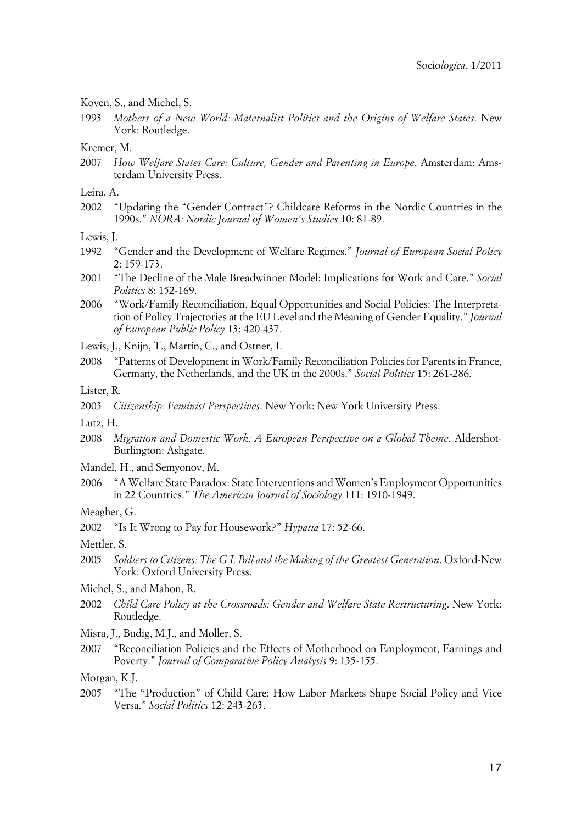#### Koven, S., and Michel, S.

1993 *Mothers of a New World: Maternalist Politics and the Origins of Welfare States*. New York: Routledge.

#### Kremer, M.

- 2007 *How Welfare States Care: Culture, Gender and Parenting in Europe*. Amsterdam: Amsterdam University Press.
- Leira, A.
- 2002 "Updating the "Gender Contract"? Childcare Reforms in the Nordic Countries in the 1990s." *NORA: Nordic Journal of Women's Studies* 10: 81-89.
- Lewis, J.
- 1992 "Gender and the Development of Welfare Regimes." *Journal of European Social Policy* 2: 159-173.
- 2001 "The Decline of the Male Breadwinner Model: Implications for Work and Care." *Social Politics* 8: 152-169.
- 2006 "Work/Family Reconciliation, Equal Opportunities and Social Policies: The Interpretation of Policy Trajectories at the EU Level and the Meaning of Gender Equality." *Journal of European Public Policy* 13: 420-437.
- Lewis, J., Knijn, T., Martin, C., and Ostner, I.
- 2008 "Patterns of Development in Work/Family Reconciliation Policies for Parents in France, Germany, the Netherlands, and the UK in the 2000s." *Social Politics* 15: 261-286.
- Lister, R.
- 2003 *Citizenship: Feminist Perspectives*. New York: New York University Press.
- Lutz, H.
- 2008 *Migration and Domestic Work: A European Perspective on a Global Theme*. Aldershot-Burlington: Ashgate.
- Mandel, H., and Semyonov, M.
- 2006 "A Welfare State Paradox: State Interventions and Women's Employment Opportunities in 22 Countries." *The American Journal of Sociology* 111: 1910-1949.
- Meagher, G.
- 2002 "Is It Wrong to Pay for Housework?" *Hypatia* 17: 52-66.

Mettler, S.

- 2005 *Soldiers to Citizens: The G.I. Bill and the Making of the Greatest Generation*. Oxford-New York: Oxford University Press.
- Michel, S., and Mahon, R.
- 2002 *Child Care Policy at the Crossroads: Gender and Welfare State Restructuring*. New York: Routledge.
- Misra, J., Budig, M.J., and Moller, S.
- 2007 "Reconciliation Policies and the Effects of Motherhood on Employment, Earnings and Poverty." *Journal of Comparative Policy Analysis* 9: 135-155.

Morgan, K.J.

2005 "The "Production" of Child Care: How Labor Markets Shape Social Policy and Vice Versa." *Social Politics* 12: 243-263.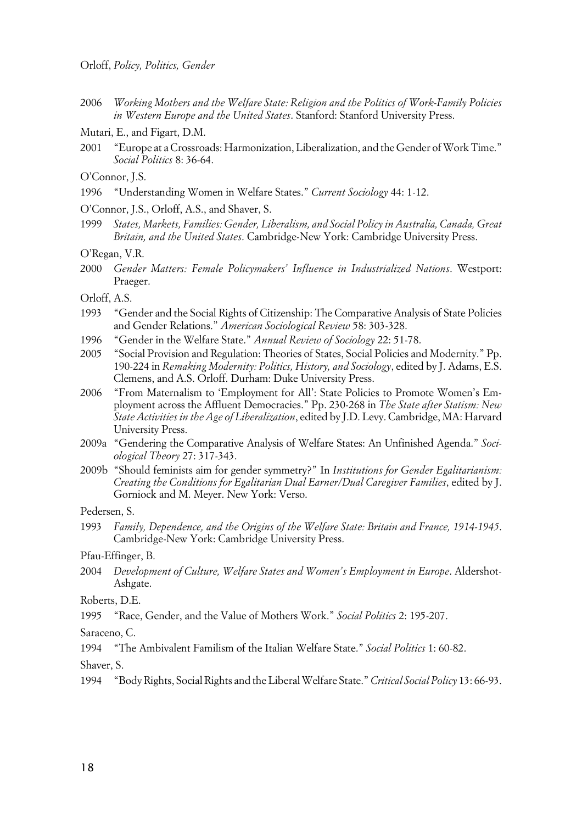- 2006 *Working Mothers and the Welfare State: Religion and the Politics of Work-Family Policies in Western Europe and the United States*. Stanford: Stanford University Press.
- Mutari, E., and Figart, D.M.
- 2001 "Europe at a Crossroads: Harmonization, Liberalization, and the Gender of Work Time." *Social Politics* 8: 36-64.
- O'Connor, J.S.
- 1996 "Understanding Women in Welfare States." *Current Sociology* 44: 1-12.
- O'Connor, J.S., Orloff, A.S., and Shaver, S.
- 1999 *States, Markets, Families: Gender, Liberalism, and Social Policy in Australia, Canada, Great Britain, and the United States*. Cambridge-New York: Cambridge University Press.
- O'Regan, V.R.
- 2000 *Gender Matters: Female Policymakers' Influence in Industrialized Nations*. Westport: Praeger.
- Orloff, A.S.
- 1993 "Gender and the Social Rights of Citizenship: The Comparative Analysis of State Policies and Gender Relations." *American Sociological Review* 58: 303-328.
- 1996 "Gender in the Welfare State." *Annual Review of Sociology* 22: 51-78.
- 2005 "Social Provision and Regulation: Theories of States, Social Policies and Modernity." Pp. 190-224 in *Remaking Modernity: Politics, History, and Sociology*, edited by J. Adams, E.S. Clemens, and A.S. Orloff. Durham: Duke University Press.
- 2006 "From Maternalism to 'Employment for All': State Policies to Promote Women's Employment across the Affluent Democracies." Pp. 230-268 in *The State after Statism: New State Activities in the Age of Liberalization*, edited by J.D. Levy. Cambridge, MA: Harvard University Press.
- 2009a "Gendering the Comparative Analysis of Welfare States: An Unfinished Agenda." *Sociological Theory* 27: 317-343.
- 2009b "Should feminists aim for gender symmetry?" In *Institutions for Gender Egalitarianism: Creating the Conditions for Egalitarian Dual Earner/Dual Caregiver Families*, edited by J. Gorniock and M. Meyer. New York: Verso.

Pedersen, S.

1993 *Family, Dependence, and the Origins of the Welfare State: Britain and France, 1914-1945*. Cambridge-New York: Cambridge University Press.

Pfau-Effinger, B.

2004 *Development of Culture, Welfare States and Women's Employment in Europe*. Aldershot-Ashgate.

Roberts, D.E.

1995 "Race, Gender, and the Value of Mothers Work." *Social Politics* 2: 195-207.

Saraceno, C.

1994 "The Ambivalent Familism of the Italian Welfare State." *Social Politics* 1: 60-82.

Shaver, S.

1994 "Body Rights, Social Rights and the Liberal Welfare State." *Critical Social Policy* 13: 66-93.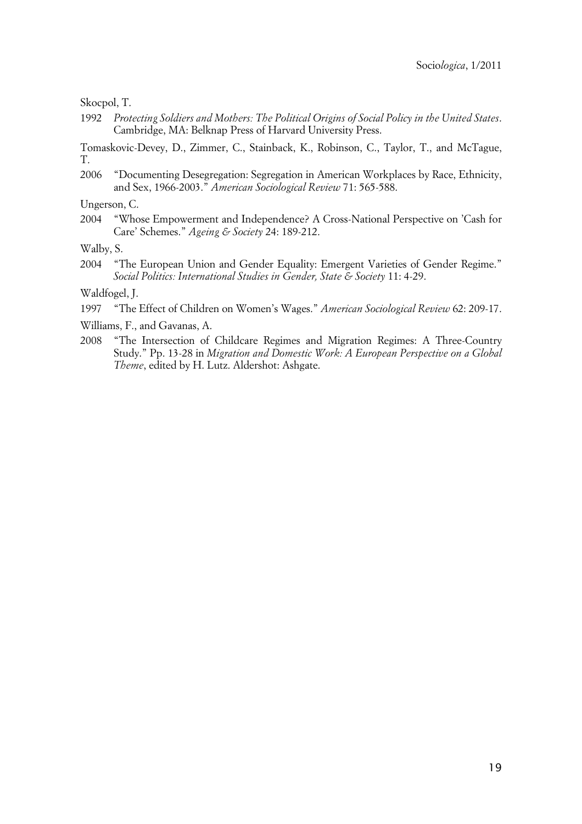#### Skocpol, T.

1992 *Protecting Soldiers and Mothers: The Political Origins of Social Policy in the United States*. Cambridge, MA: Belknap Press of Harvard University Press.

Tomaskovic-Devey, D., Zimmer, C., Stainback, K., Robinson, C., Taylor, T., and McTague, T.

2006 "Documenting Desegregation: Segregation in American Workplaces by Race, Ethnicity, and Sex, 1966-2003." *American Sociological Review* 71: 565-588.

Ungerson, C.

2004 "Whose Empowerment and Independence? A Cross-National Perspective on 'Cash for Care' Schemes." *Ageing & Society* 24: 189-212.

Walby, S.

2004 "The European Union and Gender Equality: Emergent Varieties of Gender Regime." *Social Politics: International Studies in Gender, State & Society* 11: 4-29.

Waldfogel, J.

- 1997 "The Effect of Children on Women's Wages." *American Sociological Review* 62: 209-17.
- Williams, F., and Gavanas, A.
- 2008 "The Intersection of Childcare Regimes and Migration Regimes: A Three-Country Study." Pp. 13-28 in *Migration and Domestic Work: A European Perspective on a Global Theme*, edited by H. Lutz. Aldershot: Ashgate.